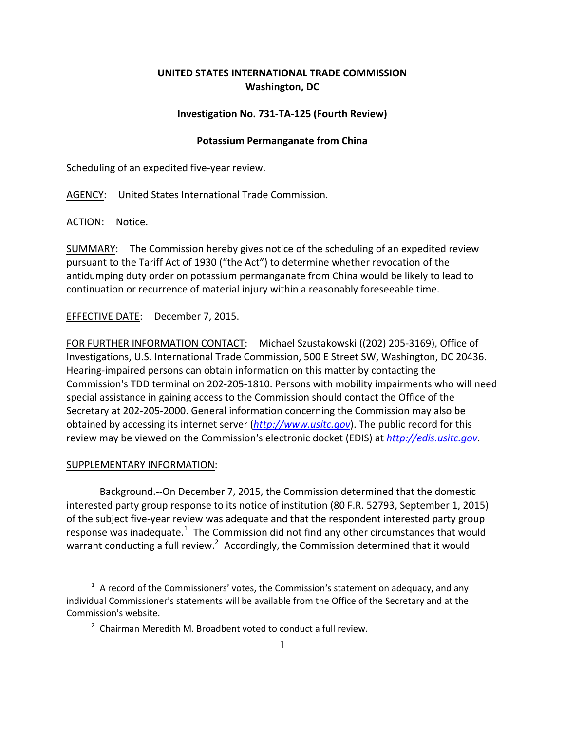## **UNITED STATES INTERNATIONAL TRADE COMMISSION Washington, DC**

## **Investigation No. 731‐TA‐125 (Fourth Review)**

## **Potassium Permanganate from China**

Scheduling of an expedited five‐year review.

AGENCY: United States International Trade Commission.

ACTION: Notice.

SUMMARY: The Commission hereby gives notice of the scheduling of an expedited review pursuant to the Tariff Act of 1930 ("the Act") to determine whether revocation of the antidumping duty order on potassium permanganate from China would be likely to lead to continuation or recurrence of material injury within a reasonably foreseeable time.

EFFECTIVE DATE: December 7, 2015.

FOR FURTHER INFORMATION CONTACT: Michael Szustakowski ((202) 205‐3169), Office of Investigations, U.S. International Trade Commission, 500 E Street SW, Washington, DC 20436. Hearing‐impaired persons can obtain information on this matter by contacting the Commission's TDD terminal on 202-205-1810. Persons with mobility impairments who will need special assistance in gaining access to the Commission should contact the Office of the Secretary at 202‐205‐2000. General information concerning the Commission may also be obtained by accessing its internet server (*http://www.usitc.gov*). The public record for this review may be viewed on the Commission's electronic docket (EDIS) at *http://edis.usitc.gov*.

## SUPPLEMENTARY INFORMATION:

 $\overline{a}$ 

Background.‐‐On December 7, 2015, the Commission determined that the domestic interested party group response to its notice of institution (80 F.R. 52793, September 1, 2015) of the subject five‐year review was adequate and that the respondent interested party group response was inadequate.<sup>1</sup> The Commission did not find any other circumstances that would warrant conducting a full review.<sup>2</sup> Accordingly, the Commission determined that it would

 $1$  A record of the Commissioners' votes, the Commission's statement on adequacy, and any individual Commissioner's statements will be available from the Office of the Secretary and at the Commission's website.

 $2$  Chairman Meredith M. Broadbent voted to conduct a full review.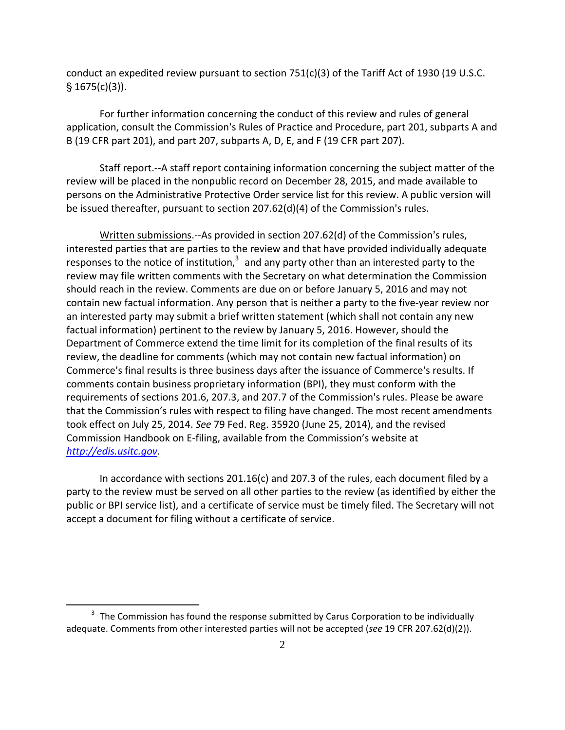conduct an expedited review pursuant to section  $751(c)(3)$  of the Tariff Act of 1930 (19 U.S.C.  $§ 1675(c)(3)$ ).

For further information concerning the conduct of this review and rules of general application, consult the Commission's Rules of Practice and Procedure, part 201, subparts A and B (19 CFR part 201), and part 207, subparts A, D, E, and F (19 CFR part 207).

Staff report.‐‐A staff report containing information concerning the subject matter of the review will be placed in the nonpublic record on December 28, 2015, and made available to persons on the Administrative Protective Order service list for this review. A public version will be issued thereafter, pursuant to section  $207.62(d)(4)$  of the Commission's rules.

Written submissions.--As provided in section 207.62(d) of the Commission's rules, interested parties that are parties to the review and that have provided individually adequate responses to the notice of institution, $3$  and any party other than an interested party to the review may file written comments with the Secretary on what determination the Commission should reach in the review. Comments are due on or before January 5, 2016 and may not contain new factual information. Any person that is neither a party to the five‐year review nor an interested party may submit a brief written statement (which shall not contain any new factual information) pertinent to the review by January 5, 2016. However, should the Department of Commerce extend the time limit for its completion of the final results of its review, the deadline for comments (which may not contain new factual information) on Commerce's final results is three business days after the issuance of Commerce's results. If comments contain business proprietary information (BPI), they must conform with the requirements of sections 201.6, 207.3, and 207.7 of the Commission's rules. Please be aware that the Commission's rules with respect to filing have changed. The most recent amendments took effect on July 25, 2014. *See* 79 Fed. Reg. 35920 (June 25, 2014), and the revised Commission Handbook on E‐filing, available from the Commission's website at *http://edis.usitc.gov*.

In accordance with sections 201.16(c) and 207.3 of the rules, each document filed by a party to the review must be served on all other parties to the review (as identified by either the public or BPI service list), and a certificate of service must be timely filed. The Secretary will not accept a document for filing without a certificate of service.

 $\overline{a}$ 

 $3$  The Commission has found the response submitted by Carus Corporation to be individually adequate. Comments from other interested parties will not be accepted (*see* 19 CFR 207.62(d)(2)).